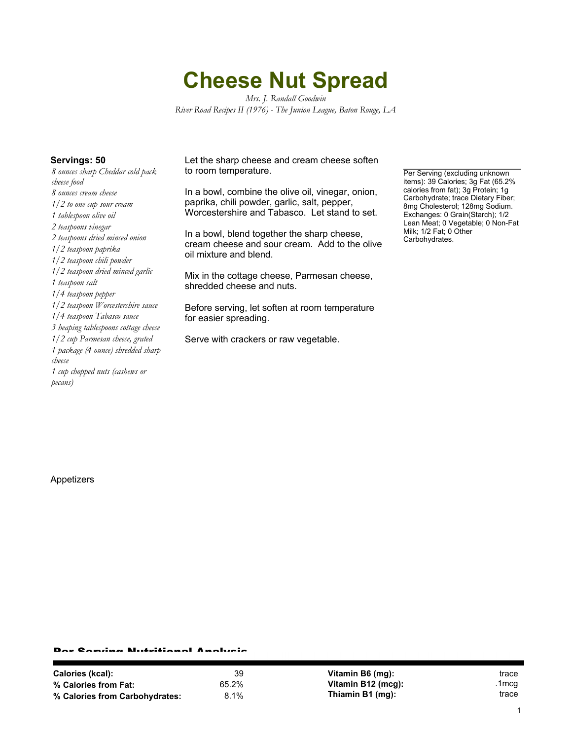## **Cheese Nut Spread**

*Mrs. J. Randall Goodwin River Road Recipes II (1976) - The Junion League, Baton Rouge, LA*

*8 ounces sharp Cheddar cold pack cheese food 8 ounces cream cheese 1/2 to one cup sour cream 1 tablespoon olive oil 2 teaspoons vinegar 2 teaspoons dried minced onion 1/2 teaspoon paprika 1/2 teaspoon chili powder 1/2 teaspoon dried minced garlic 1 teaspoon salt 1/4 teaspoon pepper 1/2 teaspoon Worcestershire sauce 1/4 teaspoon Tabasco sauce 3 heaping tablespoons cottage cheese 1/2 cup Parmesan cheese, grated 1 package (4 ounce) shredded sharp cheese 1 cup chopped nuts (cashews or pecans)*

**Servings: 50** Let the sharp cheese and cream cheese soften to room temperature.

> In a bowl, combine the olive oil, vinegar, onion, paprika, chili powder, garlic, salt, pepper, Worcestershire and Tabasco. Let stand to set.

In a bowl, blend together the sharp cheese, cream cheese and sour cream. Add to the olive oil mixture and blend.

Mix in the cottage cheese, Parmesan cheese, shredded cheese and nuts.

Before serving, let soften at room temperature for easier spreading.

Serve with crackers or raw vegetable.

Per Serving (excluding unknown items): 39 Calories; 3g Fat (65.2% calories from fat); 3g Protein; 1g Carbohydrate; trace Dietary Fiber; 8mg Cholesterol; 128mg Sodium. Exchanges: 0 Grain(Starch); 1/2 Lean Meat; 0 Vegetable; 0 Non-Fat Milk; 1/2 Fat; 0 Other Carbohydrates.

Appetizers

## Per Serving Nutritional Analysis

| Calories (kcal):               | 39    |
|--------------------------------|-------|
| % Calories from Fat:           | 65.2% |
| % Calories from Carbohydrates: | 8.1%  |

**Vitamin B6 (mg):** trace **Vitamin B12 (mcg):** .1mcg **Thiamin B1 (mg):** trace